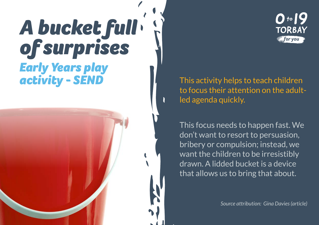## *A bucket full of surprises Early Years play activity - SEND*

This activity helps to teach children to focus their attention on the adultled agenda quickly.

This focus needs to happen fast. We don't want to resort to persuasion, bribery or compulsion; instead, we want the children to be irresistibly drawn. A lidded bucket is a device that allows us to bring that about.

*Source attribution: Gina Davies (article)*

 $0.19$ 

**TORBAY** for you